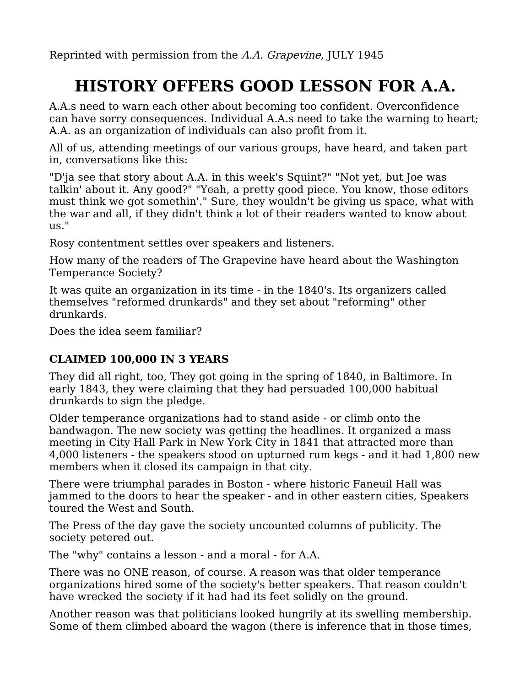Reprinted with permission from the A.A. Grapevine, JULY 1945

# **HISTORY OFFERS GOOD LESSON FOR A.A.**

A.A.s need to warn each other about becoming too confident. Overconfidence can have sorry consequences. Individual A.A.s need to take the warning to heart; A.A. as an organization of individuals can also profit from it.

All of us, attending meetings of our various groups, have heard, and taken part in, conversations like this:

"D'ja see that story about A.A. in this week's Squint?" "Not yet, but Joe was talkin' about it. Any good?" "Yeah, a pretty good piece. You know, those editors must think we got somethin'." Sure, they wouldn't be giving us space, what with the war and all, if they didn't think a lot of their readers wanted to know about us."

Rosy contentment settles over speakers and listeners.

How many of the readers of The Grapevine have heard about the Washington Temperance Society?

It was quite an organization in its time - in the 1840's. Its organizers called themselves "reformed drunkards" and they set about "reforming" other drunkards.

Does the idea seem familiar?

## **CLAIMED 100,000 IN 3 YEARS**

They did all right, too, They got going in the spring of 1840, in Baltimore. In early 1843, they were claiming that they had persuaded 100,000 habitual drunkards to sign the pledge.

Older temperance organizations had to stand aside - or climb onto the bandwagon. The new society was getting the headlines. It organized a mass meeting in City Hall Park in New York City in 1841 that attracted more than 4,000 listeners - the speakers stood on upturned rum kegs - and it had 1,800 new members when it closed its campaign in that city.

There were triumphal parades in Boston - where historic Faneuil Hall was jammed to the doors to hear the speaker - and in other eastern cities, Speakers toured the West and South.

The Press of the day gave the society uncounted columns of publicity. The society petered out.

The "why" contains a lesson - and a moral - for A.A.

There was no ONE reason, of course. A reason was that older temperance organizations hired some of the society's better speakers. That reason couldn't have wrecked the society if it had had its feet solidly on the ground.

Another reason was that politicians looked hungrily at its swelling membership. Some of them climbed aboard the wagon (there is inference that in those times,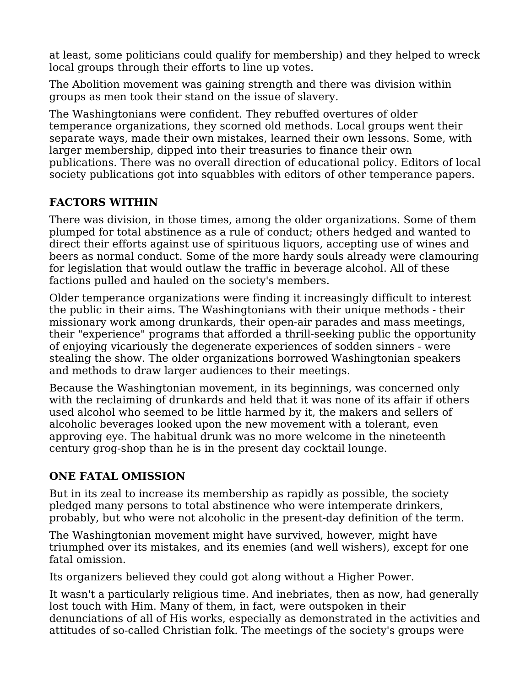at least, some politicians could qualify for membership) and they helped to wreck local groups through their efforts to line up votes.

The Abolition movement was gaining strength and there was division within groups as men took their stand on the issue of slavery.

The Washingtonians were confident. They rebuffed overtures of older temperance organizations, they scorned old methods. Local groups went their separate ways, made their own mistakes, learned their own lessons. Some, with larger membership, dipped into their treasuries to finance their own publications. There was no overall direction of educational policy. Editors of local society publications got into squabbles with editors of other temperance papers.

#### **FACTORS WITHIN**

There was division, in those times, among the older organizations. Some of them plumped for total abstinence as a rule of conduct; others hedged and wanted to direct their efforts against use of spirituous liquors, accepting use of wines and beers as normal conduct. Some of the more hardy souls already were clamouring for legislation that would outlaw the traffic in beverage alcohol. All of these factions pulled and hauled on the society's members.

Older temperance organizations were finding it increasingly difficult to interest the public in their aims. The Washingtonians with their unique methods - their missionary work among drunkards, their open-air parades and mass meetings, their "experience" programs that afforded a thrill-seeking public the opportunity of enjoying vicariously the degenerate experiences of sodden sinners - were stealing the show. The older organizations borrowed Washingtonian speakers and methods to draw larger audiences to their meetings.

Because the Washingtonian movement, in its beginnings, was concerned only with the reclaiming of drunkards and held that it was none of its affair if others used alcohol who seemed to be little harmed by it, the makers and sellers of alcoholic beverages looked upon the new movement with a tolerant, even approving eye. The habitual drunk was no more welcome in the nineteenth century grog-shop than he is in the present day cocktail lounge.

#### **ONE FATAL OMISSION**

But in its zeal to increase its membership as rapidly as possible, the society pledged many persons to total abstinence who were intemperate drinkers, probably, but who were not alcoholic in the present-day definition of the term.

The Washingtonian movement might have survived, however, might have triumphed over its mistakes, and its enemies (and well wishers), except for one fatal omission.

Its organizers believed they could got along without a Higher Power.

It wasn't a particularly religious time. And inebriates, then as now, had generally lost touch with Him. Many of them, in fact, were outspoken in their denunciations of all of His works, especially as demonstrated in the activities and attitudes of so-called Christian folk. The meetings of the society's groups were